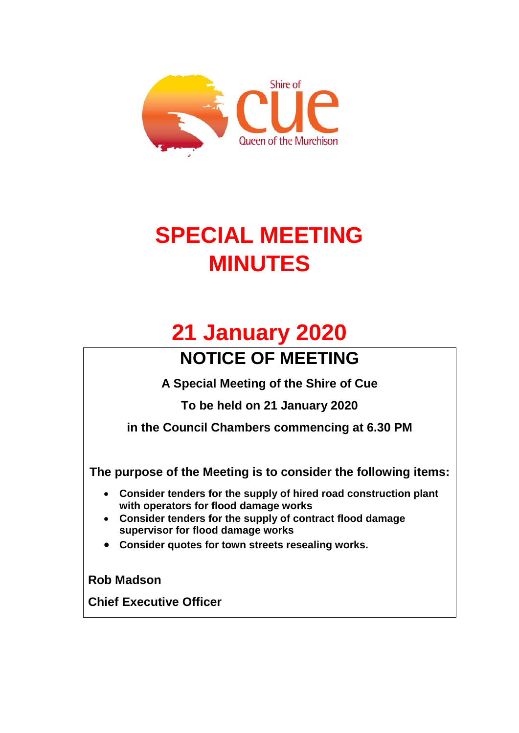

# **SPECIAL MEETING MINUTES**

# **21 January 2020**

## **NOTICE OF MEETING**

**A Special Meeting of the Shire of Cue** 

**To be held on 21 January 2020**

**in the Council Chambers commencing at 6.30 PM**

**The purpose of the Meeting is to consider the following items:**

- **Consider tenders for the supply of hired road construction plant with operators for flood damage works**
- **Consider tenders for the supply of contract flood damage supervisor for flood damage works**
- **Consider quotes for town streets resealing works.**

**Rob Madson** 

**Chief Executive Officer**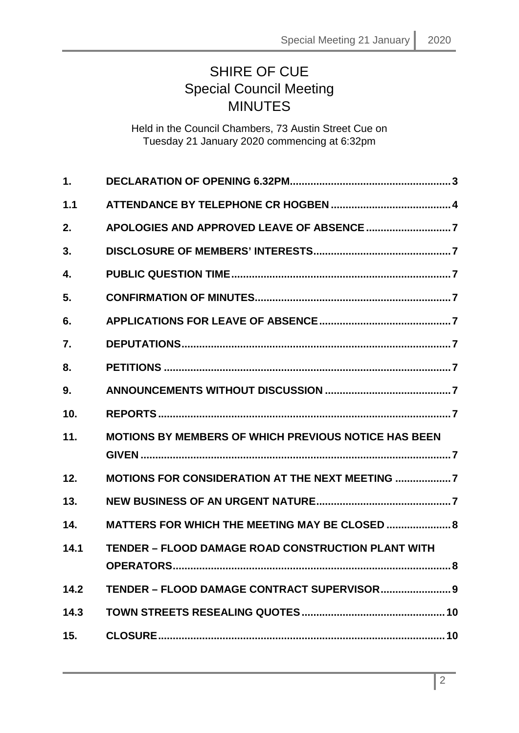### SHIRE OF CUE Special Council Meeting MINUTES

Held in the Council Chambers, 73 Austin Street Cue on Tuesday 21 January 2020 commencing at 6:32pm

| 1.   |                                                                              |
|------|------------------------------------------------------------------------------|
| 1.1  |                                                                              |
| 2.   |                                                                              |
| 3.   |                                                                              |
| 4.   |                                                                              |
| 5.   |                                                                              |
| 6.   |                                                                              |
| 7.   |                                                                              |
| 8.   |                                                                              |
| 9.   |                                                                              |
| 10.  |                                                                              |
| 11.  | <b>MOTIONS BY MEMBERS OF WHICH PREVIOUS NOTICE HAS BEEN</b>                  |
| 12.  | MOTIONS FOR CONSIDERATION AT THE NEXT MEETING 7                              |
| 13.  |                                                                              |
| 14.  | <b>MATTERS FOR WHICH THE MEETING MAY BE CLOSED  8</b>                        |
| 14.1 | <b>TENDER - FLOOD DAMAGE ROAD CONSTRUCTION PLANT WITH</b><br>OPERATORS<br>.8 |
| 14.2 | TENDER - FLOOD DAMAGE CONTRACT SUPERVISOR 9                                  |
| 14.3 |                                                                              |
| 15.  |                                                                              |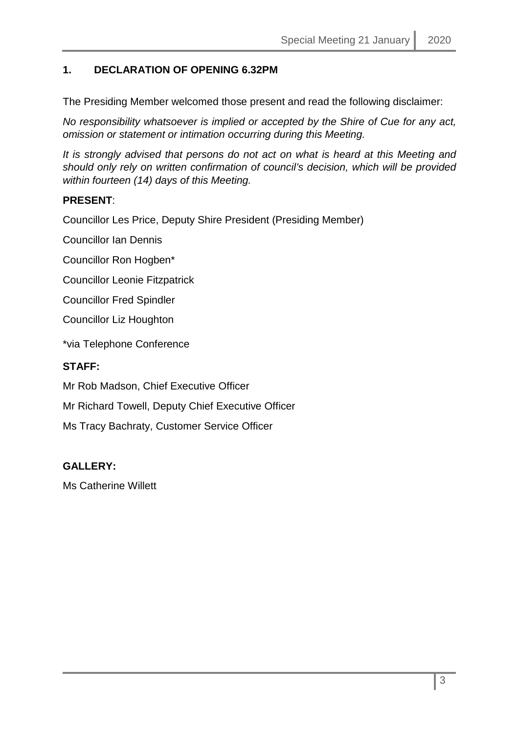#### <span id="page-2-0"></span>**1. DECLARATION OF OPENING 6.32PM**

The Presiding Member welcomed those present and read the following disclaimer:

*No responsibility whatsoever is implied or accepted by the Shire of Cue for any act, omission or statement or intimation occurring during this Meeting.*

*It is strongly advised that persons do not act on what is heard at this Meeting and should only rely on written confirmation of council's decision, which will be provided within fourteen (14) days of this Meeting.*

#### **PRESENT**:

Councillor Les Price, Deputy Shire President (Presiding Member)

Councillor Ian Dennis

Councillor Ron Hogben\*

Councillor Leonie Fitzpatrick

Councillor Fred Spindler

Councillor Liz Houghton

\*via Telephone Conference

#### **STAFF:**

Mr Rob Madson, Chief Executive Officer

Mr Richard Towell, Deputy Chief Executive Officer

Ms Tracy Bachraty, Customer Service Officer

#### **GALLERY:**

Ms Catherine Willett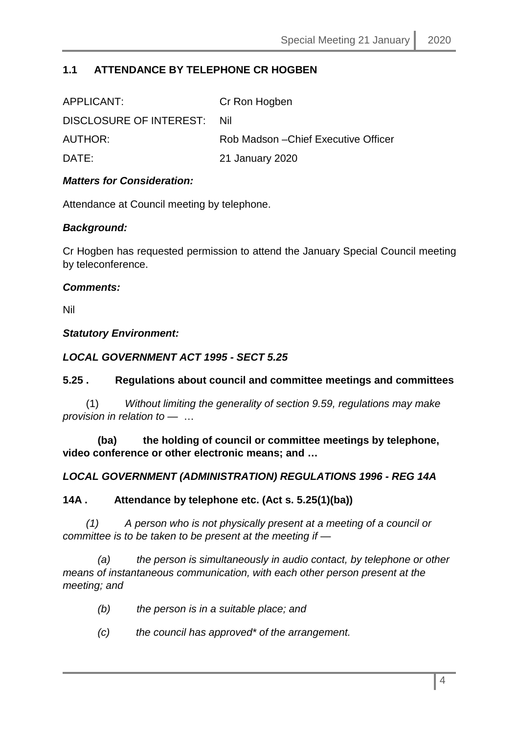#### <span id="page-3-0"></span>**1.1 ATTENDANCE BY TELEPHONE CR HOGBEN**

| APPLICANT:                  | Cr Ron Hogben                        |
|-----------------------------|--------------------------------------|
| DISCLOSURE OF INTEREST: Nil |                                      |
| AUTHOR:                     | Rob Madson – Chief Executive Officer |
| DATE:                       | 21 January 2020                      |
|                             |                                      |

#### *Matters for Consideration:*

Attendance at Council meeting by telephone.

#### *Background:*

Cr Hogben has requested permission to attend the January Special Council meeting by teleconference.

#### *Comments:*

Nil

#### *Statutory Environment:*

#### *LOCAL GOVERNMENT ACT 1995 - SECT 5.25*

#### **5.25 . Regulations about council and committee meetings and committees**

 (1) *Without limiting the generality of section 9.59, regulations may make provision in relation to —* …

 **(ba) the holding of council or committee meetings by telephone, video conference or other electronic means; and …**

#### *LOCAL GOVERNMENT (ADMINISTRATION) REGULATIONS 1996 - REG 14A*

#### **14A . Attendance by telephone etc. (Act s. 5.25(1)(ba))**

 *(1) A person who is not physically present at a meeting of a council or committee is to be taken to be present at the meeting if —*

 *(a) the person is simultaneously in audio contact, by telephone or other means of instantaneous communication, with each other person present at the meeting; and* 

- *(b) the person is in a suitable place; and*
- *(c) the council has approved\* of the arrangement.*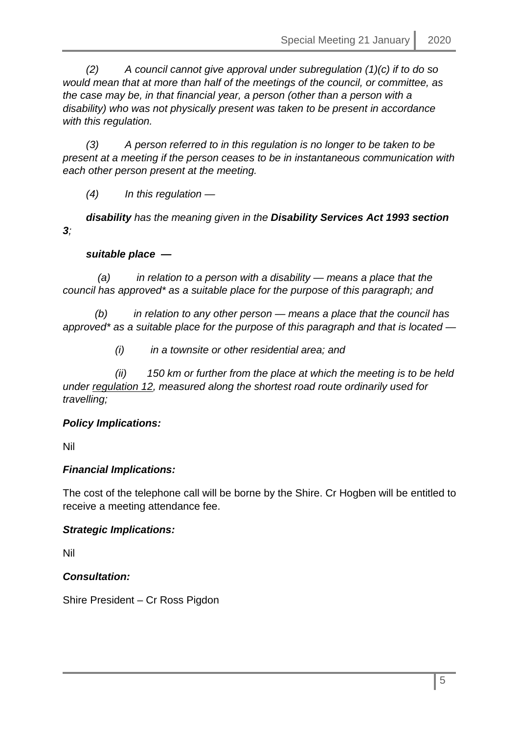*(2) A council cannot give approval under subregulation (1)(c) if to do so would mean that at more than half of the meetings of the council, or committee, as the case may be, in that financial year, a person (other than a person with a disability) who was not physically present was taken to be present in accordance with this regulation.* 

 *(3) A person referred to in this regulation is no longer to be taken to be present at a meeting if the person ceases to be in instantaneous communication with each other person present at the meeting.* 

 *(4) In this regulation —*

 *disability has the meaning given in the Disability Services Act 1993 section 3;* 

#### *suitable place —*

 *(a) in relation to a person with a disability — means a place that the council has approved\* as a suitable place for the purpose of this paragraph; and* 

 *(b) in relation to any other person — means a place that the council has approved\* as a suitable place for the purpose of this paragraph and that is located —*

 *(i) in a townsite or other residential area; and* 

 *(ii) 150 km or further from the place at which the meeting is to be held under regulation 12, measured along the shortest road route ordinarily used for travelling;*

#### *Policy Implications:*

Nil

#### *Financial Implications:*

The cost of the telephone call will be borne by the Shire. Cr Hogben will be entitled to receive a meeting attendance fee.

#### *Strategic Implications:*

Nil

#### *Consultation:*

Shire President – Cr Ross Pigdon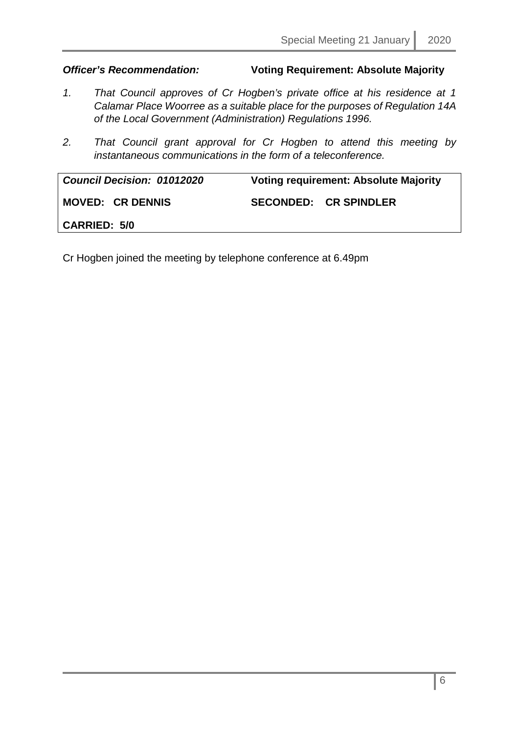#### *Officer's Recommendation:* **Voting Requirement: Absolute Majority**

- *1. That Council approves of Cr Hogben's private office at his residence at 1 Calamar Place Woorree as a suitable place for the purposes of Regulation 14A of the Local Government (Administration) Regulations 1996.*
- *2. That Council grant approval for Cr Hogben to attend this meeting by instantaneous communications in the form of a teleconference.*

| <b>Council Decision: 01012020</b> | <b>Voting requirement: Absolute Majority</b> |  |
|-----------------------------------|----------------------------------------------|--|
| <b>MOVED: CR DENNIS</b>           | <b>SECONDED: CR SPINDLER</b>                 |  |
| <b>CARRIED: 5/0</b>               |                                              |  |

Cr Hogben joined the meeting by telephone conference at 6.49pm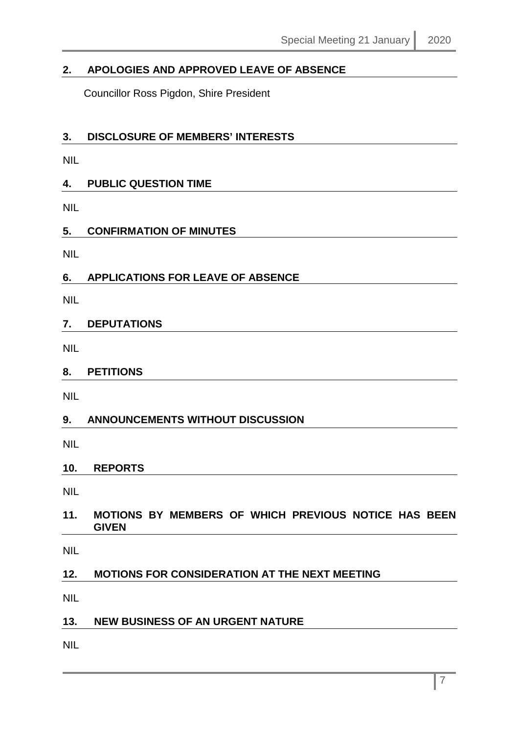#### <span id="page-6-0"></span>**2. APOLOGIES AND APPROVED LEAVE OF ABSENCE**

Councillor Ross Pigdon, Shire President

#### <span id="page-6-1"></span>**3. DISCLOSURE OF MEMBERS' INTERESTS**

NIL

#### <span id="page-6-2"></span>**4. PUBLIC QUESTION TIME**

NIL

#### <span id="page-6-3"></span>**5. CONFIRMATION OF MINUTES**

NIL

#### <span id="page-6-4"></span>**6. APPLICATIONS FOR LEAVE OF ABSENCE**

NIL

#### <span id="page-6-5"></span>**7. DEPUTATIONS**

NIL

#### <span id="page-6-6"></span>**8. PETITIONS**

NIL

#### <span id="page-6-7"></span>**9. ANNOUNCEMENTS WITHOUT DISCUSSION**

NIL

#### <span id="page-6-8"></span>**10. REPORTS**

NIL

#### <span id="page-6-9"></span>**11. MOTIONS BY MEMBERS OF WHICH PREVIOUS NOTICE HAS BEEN GIVEN**

NIL

#### <span id="page-6-10"></span>**12. MOTIONS FOR CONSIDERATION AT THE NEXT MEETING**

NIL

#### <span id="page-6-11"></span>**13. NEW BUSINESS OF AN URGENT NATURE**

NIL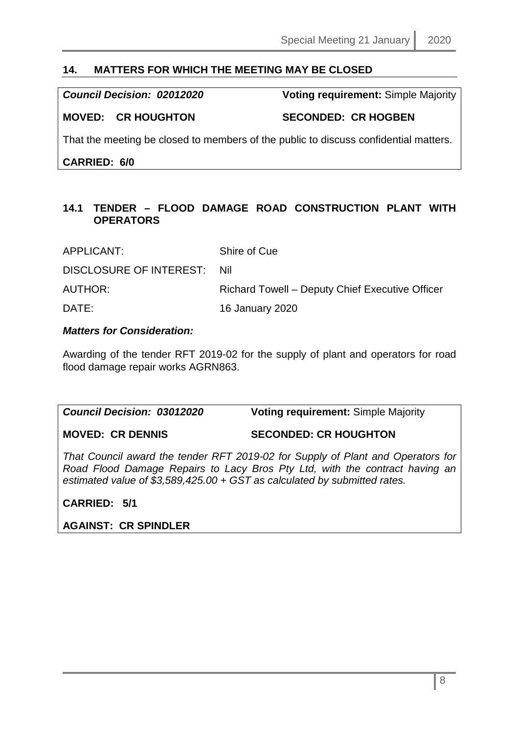#### <span id="page-7-0"></span>**14. MATTERS FOR WHICH THE MEETING MAY BE CLOSED**

*Council Decision: 02012020* **Voting requirement:** Simple Majority

#### **MOVED: CR HOUGHTON SECONDED: CR HOGBEN**

That the meeting be closed to members of the public to discuss confidential matters.

**CARRIED: 6/0**

#### <span id="page-7-1"></span>**14.1 TENDER – FLOOD DAMAGE ROAD CONSTRUCTION PLANT WITH OPERATORS**

| APPLICANT:                  | Shire of Cue                                    |
|-----------------------------|-------------------------------------------------|
| DISCLOSURE OF INTEREST: Nil |                                                 |
| <b>AUTHOR:</b>              | Richard Towell – Deputy Chief Executive Officer |
| DATE:                       | 16 January 2020                                 |

#### *Matters for Consideration:*

Awarding of the tender RFT 2019-02 for the supply of plant and operators for road flood damage repair works AGRN863.

| <b>Council Decision: 03012020</b> | <b>Voting requirement: Simple Majority</b> |
|-----------------------------------|--------------------------------------------|
|                                   |                                            |

**MOVED: CR DENNIS SECONDED: CR HOUGHTON**

*That Council award the tender RFT 2019-02 for Supply of Plant and Operators for Road Flood Damage Repairs to Lacy Bros Pty Ltd, with the contract having an estimated value of \$3,589,425.00 + GST as calculated by submitted rates.*

**CARRIED: 5/1** 

**AGAINST: CR SPINDLER**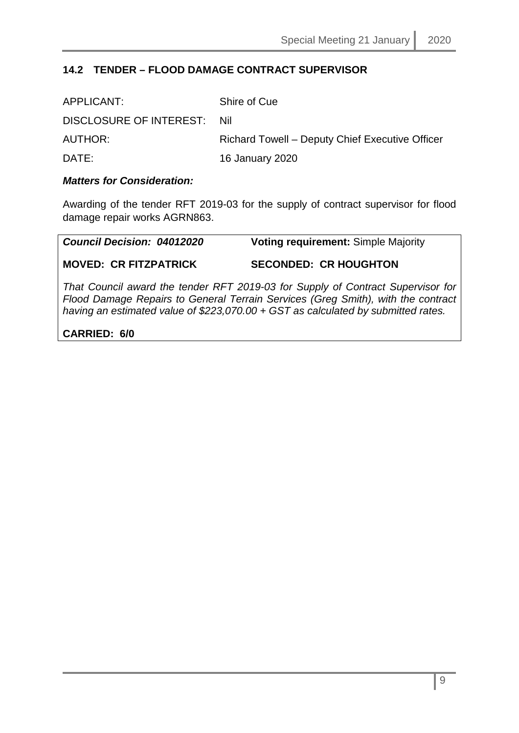#### <span id="page-8-0"></span>**14.2 TENDER – FLOOD DAMAGE CONTRACT SUPERVISOR**

| APPLICANT:                  | Shire of Cue                                    |
|-----------------------------|-------------------------------------------------|
| DISCLOSURE OF INTEREST: Nil |                                                 |
| AUTHOR:                     | Richard Towell – Deputy Chief Executive Officer |
| DATE:                       | 16 January 2020                                 |

#### *Matters for Consideration:*

Awarding of the tender RFT 2019-03 for the supply of contract supervisor for flood damage repair works AGRN863.

| <b>Council Decision: 04012020</b> | <b>Voting requirement: Simple Majority</b> |
|-----------------------------------|--------------------------------------------|
| <b>MOVED: CR FITZPATRICK</b>      | <b>SECONDED: CR HOUGHTON</b>               |

*That Council award the tender RFT 2019-03 for Supply of Contract Supervisor for Flood Damage Repairs to General Terrain Services (Greg Smith), with the contract having an estimated value of \$223,070.00 + GST as calculated by submitted rates.*

#### **CARRIED: 6/0**